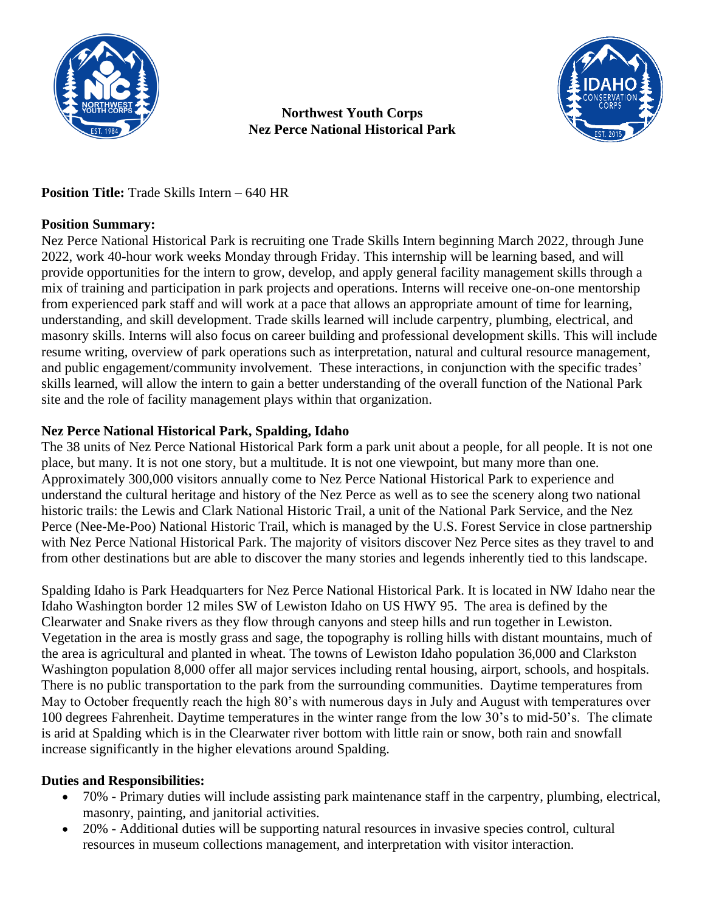

### **Northwest Youth Corps Nez Perce National Historical Park**



**Position Title:** Trade Skills Intern – 640 HR

# **Position Summary:**

Nez Perce National Historical Park is recruiting one Trade Skills Intern beginning March 2022, through June 2022, work 40-hour work weeks Monday through Friday. This internship will be learning based, and will provide opportunities for the intern to grow, develop, and apply general facility management skills through a mix of training and participation in park projects and operations. Interns will receive one-on-one mentorship from experienced park staff and will work at a pace that allows an appropriate amount of time for learning, understanding, and skill development. Trade skills learned will include carpentry, plumbing, electrical, and masonry skills. Interns will also focus on career building and professional development skills. This will include resume writing, overview of park operations such as interpretation, natural and cultural resource management, and public engagement/community involvement. These interactions, in conjunction with the specific trades' skills learned, will allow the intern to gain a better understanding of the overall function of the National Park site and the role of facility management plays within that organization.

# **Nez Perce National Historical Park, Spalding, Idaho**

The 38 units of Nez Perce National Historical Park form a park unit about a people, for all people. It is not one place, but many. It is not one story, but a multitude. It is not one viewpoint, but many more than one. Approximately 300,000 visitors annually come to Nez Perce National Historical Park to experience and understand the cultural heritage and history of the Nez Perce as well as to see the scenery along two national historic trails: the Lewis and Clark National Historic Trail, a unit of the National Park Service, and the Nez Perce (Nee-Me-Poo) National Historic Trail, which is managed by the U.S. Forest Service in close partnership with Nez Perce National Historical Park. The majority of visitors discover Nez Perce sites as they travel to and from other destinations but are able to discover the many stories and legends inherently tied to this landscape.

Spalding Idaho is Park Headquarters for Nez Perce National Historical Park. It is located in NW Idaho near the Idaho Washington border 12 miles SW of Lewiston Idaho on US HWY 95. The area is defined by the Clearwater and Snake rivers as they flow through canyons and steep hills and run together in Lewiston. Vegetation in the area is mostly grass and sage, the topography is rolling hills with distant mountains, much of the area is agricultural and planted in wheat. The towns of Lewiston Idaho population 36,000 and Clarkston Washington population 8,000 offer all major services including rental housing, airport, schools, and hospitals. There is no public transportation to the park from the surrounding communities. Daytime temperatures from May to October frequently reach the high 80's with numerous days in July and August with temperatures over 100 degrees Fahrenheit. Daytime temperatures in the winter range from the low 30's to mid-50's. The climate is arid at Spalding which is in the Clearwater river bottom with little rain or snow, both rain and snowfall increase significantly in the higher elevations around Spalding.

# **Duties and Responsibilities:**

- 70% Primary duties will include assisting park maintenance staff in the carpentry, plumbing, electrical, masonry, painting, and janitorial activities.
- 20% Additional duties will be supporting natural resources in invasive species control, cultural resources in museum collections management, and interpretation with visitor interaction.